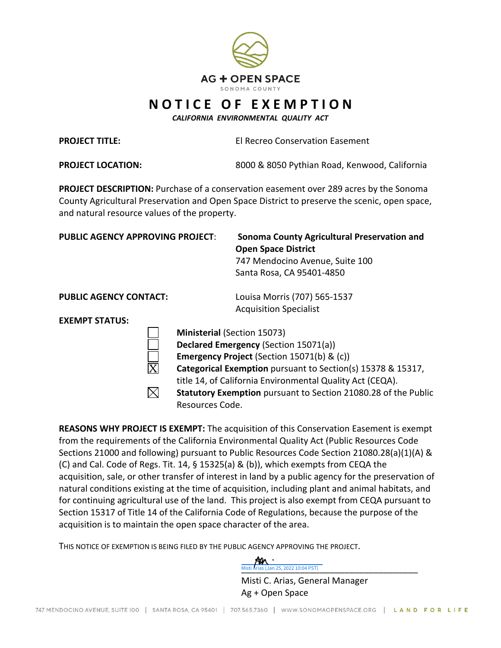

## **N O T I C E O F E X E M P T I O N**

*CALIFORNIA ENVIRONMENTAL QUALITY ACT*

**PROJECT TITLE:**

El Recreo Conservation Easement

**PROJECT LOCATION:** 

8000 & 8050 Pythian Road, Kenwood, California

**PROJECT DESCRIPTION:** Purchase of a conservation easement over 289 acres by the Sonoma County Agricultural Preservation and Open Space District to preserve the scenic, open space, and natural resource values of the property.

| <b>PUBLIC AGENCY APPROVING PROJECT:</b> | Sonoma County Agricultural Preservation and<br><b>Open Space District</b><br>747 Mendocino Avenue, Suite 100<br>Santa Rosa, CA 95401-4850 |
|-----------------------------------------|-------------------------------------------------------------------------------------------------------------------------------------------|
| <b>PUBLIC AGENCY CONTACT:</b>           | Louisa Morris (707) 565-1537<br><b>Acquisition Specialist</b>                                                                             |
| <b>EXEMPT STATUS:</b>                   |                                                                                                                                           |
|                                         | <b>Ministerial (Section 15073)</b>                                                                                                        |
|                                         | <b>Declared Emergency (Section 15071(a))</b>                                                                                              |
|                                         | Emergency Project (Section 15071(b) & (c))                                                                                                |
|                                         | <b>Categorical Exemption</b> pursuant to Section(s) 15378 & 15317,                                                                        |
|                                         | title 14, of California Environmental Quality Act (CEQA).                                                                                 |
|                                         | Statutory Exemption pursuant to Section 21080.28 of the Public                                                                            |
|                                         | Resources Code.                                                                                                                           |

**REASONS WHY PROJECT IS EXEMPT:** The acquisition of this Conservation Easement is exempt from the requirements of the California Environmental Quality Act (Public Resources Code Sections 21000 and following) pursuant to Public Resources Code Section 21080.28(a)(1)(A) & (C) and Cal. Code of Regs. Tit. 14, § 15325(a) & (b)), which exempts from CEQA the acquisition, sale, or other transfer of interest in land by a public agency for the preservation of natural conditions existing at the time of acquisition, including plant and animal habitats, and for continuing agricultural use of the land. This project is also exempt from CEQA pursuant to Section 15317 of Title 14 of the California Code of Regulations, because the purpose of the acquisition is to maintain the open space character of the area.

THIS NOTICE OF EXEMPTION IS BEING FILED BY THE PUBLIC AGENCY APPROVING THE PROJECT.



Misti C. Arias, General Manager Ag + Open Space